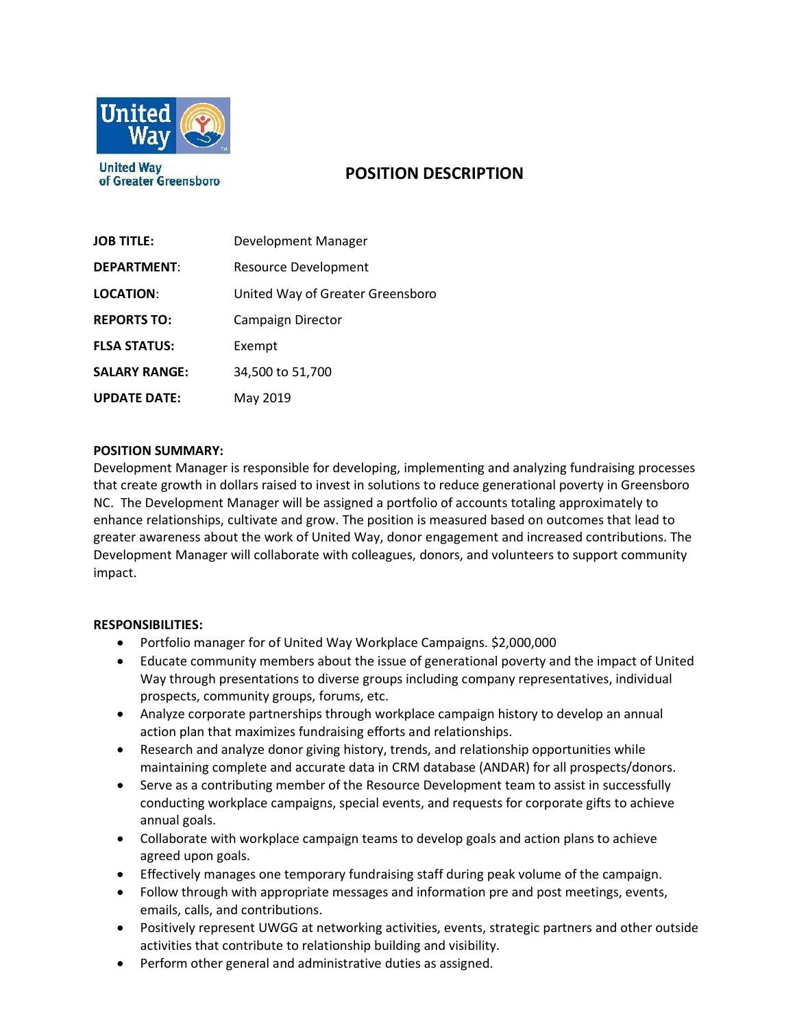

of Greater Greensboro

# **POSITION DESCRIPTION**

| <b>JOB TITLE:</b>    | Development Manager              |
|----------------------|----------------------------------|
| <b>DEPARTMENT:</b>   | <b>Resource Development</b>      |
| <b>LOCATION:</b>     | United Way of Greater Greensboro |
| <b>REPORTS TO:</b>   | <b>Campaign Director</b>         |
| <b>FLSA STATUS:</b>  | Exempt                           |
| <b>SALARY RANGE:</b> | 34,500 to 51,700                 |
| <b>UPDATE DATE:</b>  | May 2019                         |

## **POSITION SUMMARY:**

Development Manager is responsible for developing, implementing and analyzing fundraising processes that create growth in dollars raised to invest in solutions to reduce generational poverty in Greensboro NC. The Development Manager will be assigned a portfolio of accounts totaling approximately to enhance relationships, cultivate and grow. The position is measured based on outcomes that lead to greater awareness about the work of United Way, donor engagement and increased contributions. The Development Manager will collaborate with colleagues, donors, and volunteers to support community impact.

### **RESPONSIBILITIES:**

- Portfolio manager for of United Way Workplace Campaigns. \$2,000,000
- Educate community members about the issue of generational poverty and the impact of United Way through presentations to diverse groups including company representatives, individual prospects, community groups, forums, etc.
- Analyze corporate partnerships through workplace campaign history to develop an annual action plan that maximizes fundraising efforts and relationships.
- Research and analyze donor giving history, trends, and relationship opportunities while maintaining complete and accurate data in CRM database (ANDAR) for all prospects/donors.
- Serve as a contributing member of the Resource Development team to assist in successfully conducting workplace campaigns, special events, and requests for corporate gifts to achieve annual goals.
- Collaborate with workplace campaign teams to develop goals and action plans to achieve agreed upon goals.
- Effectively manages one temporary fundraising staff during peak volume of the campaign.
- Follow through with appropriate messages and information pre and post meetings, events, emails, calls, and contributions.
- Positively represent UWGG at networking activities, events, strategic partners and other outside activities that contribute to relationship building and visibility.
- Perform other general and administrative duties as assigned.